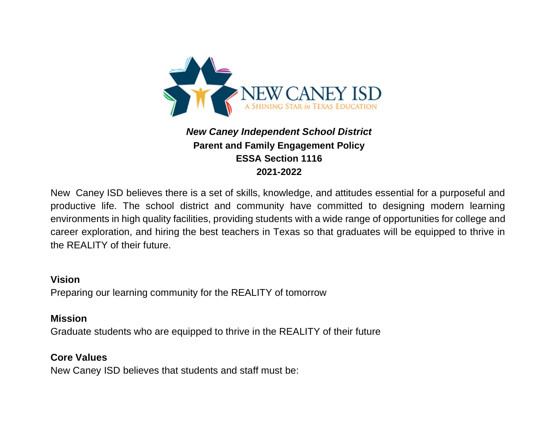

# *New Caney Independent School District* **Parent and Family Engagement Policy ESSA Section 1116 2021-2022**

New Caney ISD believes there is a set of skills, knowledge, and attitudes essential for a purposeful and productive life. The school district and community have committed to designing modern learning environments in high quality facilities, providing students with a wide range of opportunities for college and career exploration, and hiring the best teachers in Texas so that graduates will be equipped to thrive in the REALITY of their future.

#### **Vision**

Preparing our learning community for the REALITY of tomorrow

#### **Mission**

Graduate students who are equipped to thrive in the REALITY of their future

### **Core Values**

New Caney ISD believes that students and staff must be: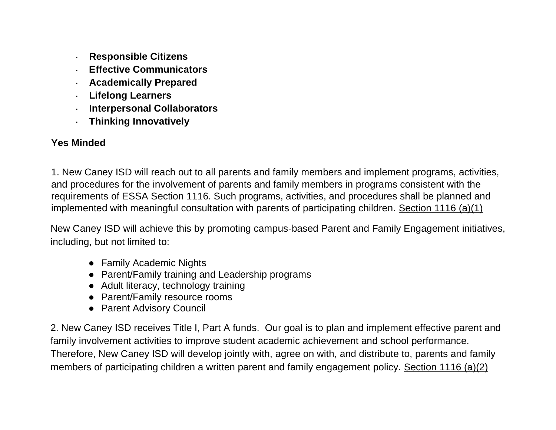- **· Responsible Citizens**
- **· Effective Communicators**
- **· Academically Prepared**
- **· Lifelong Learners**
- **· Interpersonal Collaborators**
- **· Thinking Innovatively**

## **Yes Minded**

1. New Caney ISD will reach out to all parents and family members and implement programs, activities, and procedures for the involvement of parents and family members in programs consistent with the requirements of ESSA Section 1116. Such programs, activities, and procedures shall be planned and implemented with meaningful consultation with parents of participating children. Section 1116 (a)(1)

New Caney ISD will achieve this by promoting campus-based Parent and Family Engagement initiatives, including, but not limited to:

- Family Academic Nights
- Parent/Family training and Leadership programs
- Adult literacy, technology training
- Parent/Family resource rooms
- Parent Advisory Council

2. New Caney ISD receives Title I, Part A funds. Our goal is to plan and implement effective parent and family involvement activities to improve student academic achievement and school performance. Therefore, New Caney ISD will develop jointly with, agree on with, and distribute to, parents and family members of participating children a written parent and family engagement policy. Section 1116 (a)(2)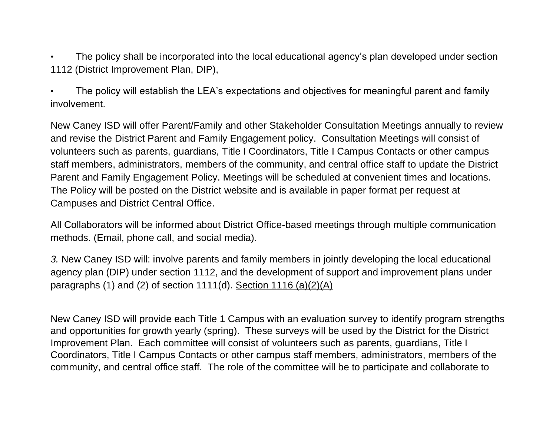The policy shall be incorporated into the local educational agency's plan developed under section 1112 (District Improvement Plan, DIP),

• The policy will establish the LEA's expectations and objectives for meaningful parent and family involvement.

New Caney ISD will offer Parent/Family and other Stakeholder Consultation Meetings annually to review and revise the District Parent and Family Engagement policy. Consultation Meetings will consist of volunteers such as parents, guardians, Title I Coordinators, Title I Campus Contacts or other campus staff members, administrators, members of the community, and central office staff to update the District Parent and Family Engagement Policy. Meetings will be scheduled at convenient times and locations. The Policy will be posted on the District website and is available in paper format per request at Campuses and District Central Office.

All Collaborators will be informed about District Office-based meetings through multiple communication methods. (Email, phone call, and social media).

*3.* New Caney ISD will: involve parents and family members in jointly developing the local educational agency plan (DIP) under section 1112, and the development of support and improvement plans under paragraphs (1) and (2) of section 1111(d). Section 1116 (a)(2)(A)

New Caney ISD will provide each Title 1 Campus with an evaluation survey to identify program strengths and opportunities for growth yearly (spring). These surveys will be used by the District for the District Improvement Plan. Each committee will consist of volunteers such as parents, guardians, Title I Coordinators, Title I Campus Contacts or other campus staff members, administrators, members of the community, and central office staff. The role of the committee will be to participate and collaborate to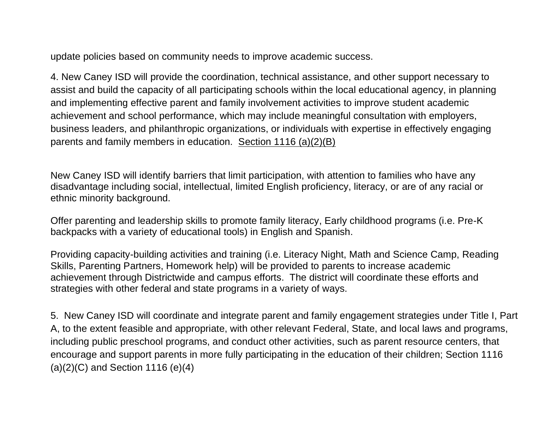update policies based on community needs to improve academic success.

4. New Caney ISD will provide the coordination, technical assistance, and other support necessary to assist and build the capacity of all participating schools within the local educational agency, in planning and implementing effective parent and family involvement activities to improve student academic achievement and school performance, which may include meaningful consultation with employers, business leaders, and philanthropic organizations, or individuals with expertise in effectively engaging parents and family members in education. Section 1116 (a)(2)(B)

New Caney ISD will identify barriers that limit participation, with attention to families who have any disadvantage including social, intellectual, limited English proficiency, literacy, or are of any racial or ethnic minority background.

Offer parenting and leadership skills to promote family literacy, Early childhood programs (i.e. Pre-K backpacks with a variety of educational tools) in English and Spanish.

Providing capacity-building activities and training (i.e. Literacy Night, Math and Science Camp, Reading Skills, Parenting Partners, Homework help) will be provided to parents to increase academic achievement through Districtwide and campus efforts. The district will coordinate these efforts and strategies with other federal and state programs in a variety of ways.

5. New Caney ISD will coordinate and integrate parent and family engagement strategies under Title I, Part A, to the extent feasible and appropriate, with other relevant Federal, State, and local laws and programs, including public preschool programs, and conduct other activities, such as parent resource centers, that encourage and support parents in more fully participating in the education of their children; Section 1116  $(a)(2)(C)$  and Section 1116  $(e)(4)$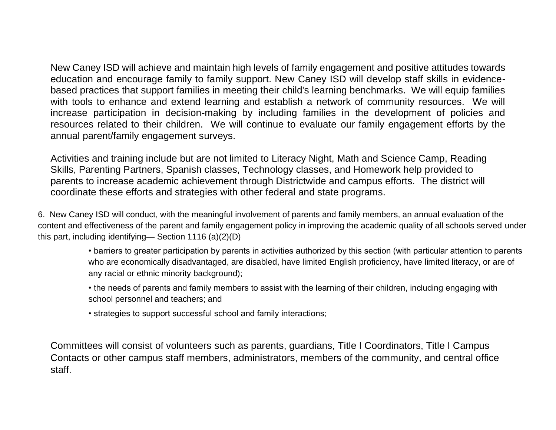New Caney ISD will achieve and maintain high levels of family engagement and positive attitudes towards education and encourage family to family support. New Caney ISD will develop staff skills in evidencebased practices that support families in meeting their child's learning benchmarks. We will equip families with tools to enhance and extend learning and establish a network of community resources. We will increase participation in decision-making by including families in the development of policies and resources related to their children. We will continue to evaluate our family engagement efforts by the annual parent/family engagement surveys.

Activities and training include but are not limited to Literacy Night, Math and Science Camp, Reading Skills, Parenting Partners, Spanish classes, Technology classes, and Homework help provided to parents to increase academic achievement through Districtwide and campus efforts. The district will coordinate these efforts and strategies with other federal and state programs.

6. New Caney ISD will conduct, with the meaningful involvement of parents and family members, an annual evaluation of the content and effectiveness of the parent and family engagement policy in improving the academic quality of all schools served under this part, including identifying— Section 1116 (a)(2)(D)

> • barriers to greater participation by parents in activities authorized by this section (with particular attention to parents who are economically disadvantaged, are disabled, have limited English proficiency, have limited literacy, or are of any racial or ethnic minority background);

• the needs of parents and family members to assist with the learning of their children, including engaging with school personnel and teachers; and

• strategies to support successful school and family interactions;

Committees will consist of volunteers such as parents, guardians, Title I Coordinators, Title I Campus Contacts or other campus staff members, administrators, members of the community, and central office staff.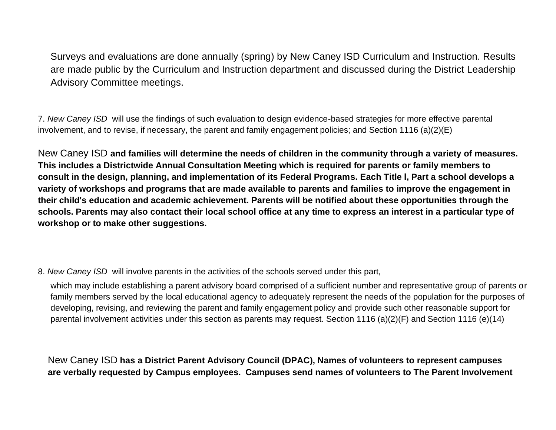Surveys and evaluations are done annually (spring) by New Caney ISD Curriculum and Instruction. Results are made public by the Curriculum and Instruction department and discussed during the District Leadership Advisory Committee meetings.

7. *New Caney ISD* will use the findings of such evaluation to design evidence-based strategies for more effective parental involvement, and to revise, if necessary, the parent and family engagement policies; and Section 1116 (a)(2)(E)

New Caney ISD **and families will determine the needs of children in the community through a variety of measures. This includes a Districtwide Annual Consultation Meeting which is required for parents or family members to consult in the design, planning, and implementation of its Federal Programs. Each Title l, Part a school develops a variety of workshops and programs that are made available to parents and families to improve the engagement in their child's education and academic achievement. Parents will be notified about these opportunities through the schools. Parents may also contact their local school office at any time to express an interest in a particular type of workshop or to make other suggestions.** 

8. *New Caney ISD* will involve parents in the activities of the schools served under this part,

which may include establishing a parent advisory board comprised of a sufficient number and representative group of parents or family members served by the local educational agency to adequately represent the needs of the population for the purposes of developing, revising, and reviewing the parent and family engagement policy and provide such other reasonable support for parental involvement activities under this section as parents may request. Section 1116 (a)(2)(F) and Section 1116 (e)(14)

New Caney ISD **has a District Parent Advisory Council (DPAC), Names of volunteers to represent campuses are verbally requested by Campus employees. Campuses send names of volunteers to The Parent Involvement**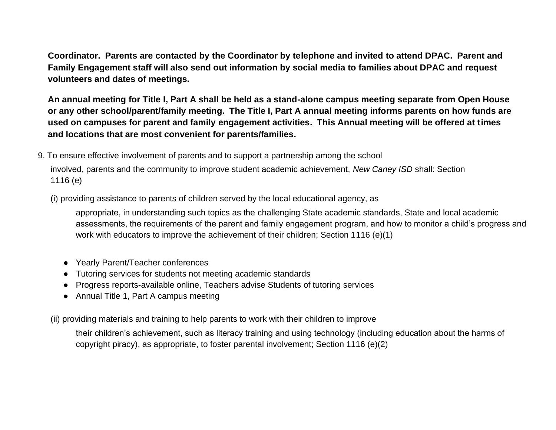**Coordinator. Parents are contacted by the Coordinator by telephone and invited to attend DPAC. Parent and Family Engagement staff will also send out information by social media to families about DPAC and request volunteers and dates of meetings.**

**An annual meeting for Title I, Part A shall be held as a stand-alone campus meeting separate from Open House or any other school/parent/family meeting. The Title I, Part A annual meeting informs parents on how funds are used on campuses for parent and family engagement activities. This Annual meeting will be offered at times and locations that are most convenient for parents/families.**

9. To ensure effective involvement of parents and to support a partnership among the school involved, parents and the community to improve student academic achievement, *New Caney ISD* shall: Section

(i) providing assistance to parents of children served by the local educational agency, as

appropriate, in understanding such topics as the challenging State academic standards, State and local academic assessments, the requirements of the parent and family engagement program, and how to monitor a child's progress and work with educators to improve the achievement of their children; Section 1116 (e)(1)

● Yearly Parent/Teacher conferences

1116 (e)

- Tutoring services for students not meeting academic standards
- Progress reports-available online, Teachers advise Students of tutoring services
- Annual Title 1, Part A campus meeting

(ii) providing materials and training to help parents to work with their children to improve

their children's achievement, such as literacy training and using technology (including education about the harms of copyright piracy), as appropriate, to foster parental involvement; Section 1116 (e)(2)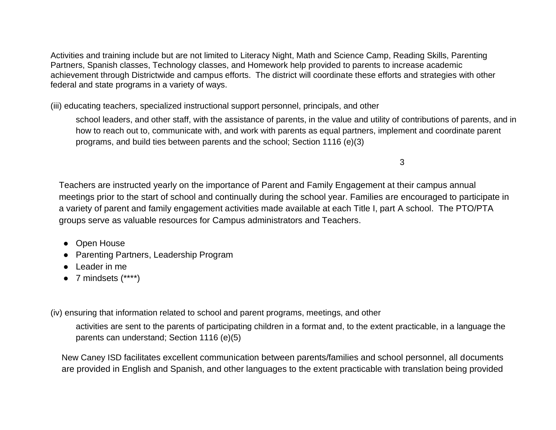Activities and training include but are not limited to Literacy Night, Math and Science Camp, Reading Skills, Parenting Partners, Spanish classes, Technology classes, and Homework help provided to parents to increase academic achievement through Districtwide and campus efforts. The district will coordinate these efforts and strategies with other federal and state programs in a variety of ways.

(iii) educating teachers, specialized instructional support personnel, principals, and other

school leaders, and other staff, with the assistance of parents, in the value and utility of contributions of parents, and in how to reach out to, communicate with, and work with parents as equal partners, implement and coordinate parent programs, and build ties between parents and the school; Section 1116 (e)(3)

3

Teachers are instructed yearly on the importance of Parent and Family Engagement at their campus annual meetings prior to the start of school and continually during the school year. Families are encouraged to participate in a variety of parent and family engagement activities made available at each Title I, part A school. The PTO/PTA groups serve as valuable resources for Campus administrators and Teachers.

- Open House
- Parenting Partners, Leadership Program
- Leader in me
- $\bullet$  7 mindsets  $(****)$

(iv) ensuring that information related to school and parent programs, meetings, and other

activities are sent to the parents of participating children in a format and, to the extent practicable, in a language the parents can understand; Section 1116 (e)(5)

New Caney ISD facilitates excellent communication between parents/families and school personnel, all documents are provided in English and Spanish, and other languages to the extent practicable with translation being provided